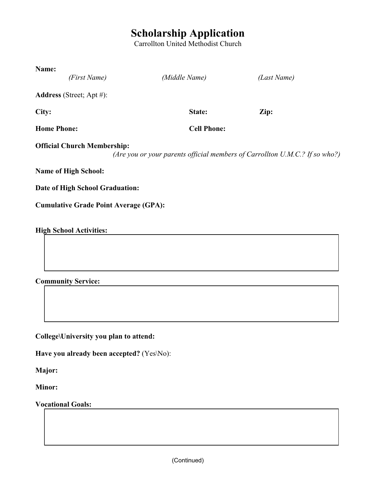## **Scholarship Application**

Carrollton United Methodist Church

| Name:                                        |                    |                                                                             |
|----------------------------------------------|--------------------|-----------------------------------------------------------------------------|
| (First Name)                                 | (Middle Name)      | (Last Name)                                                                 |
| <b>Address</b> (Street; Apt #):              |                    |                                                                             |
| City:                                        | State:             | Zip:                                                                        |
| <b>Home Phone:</b>                           | <b>Cell Phone:</b> |                                                                             |
| <b>Official Church Membership:</b>           |                    | (Are you or your parents official members of Carrollton U.M.C.? If so who?) |
| <b>Name of High School:</b>                  |                    |                                                                             |
| Date of High School Graduation:              |                    |                                                                             |
| <b>Cumulative Grade Point Average (GPA):</b> |                    |                                                                             |
| <b>High School Activities:</b>               |                    |                                                                             |

**Community Service:**

**College\University you plan to attend:**

**Have you already been accepted?** (Yes\No):

**Major:**

**Minor:**

**Vocational Goals:** 

(Continued)